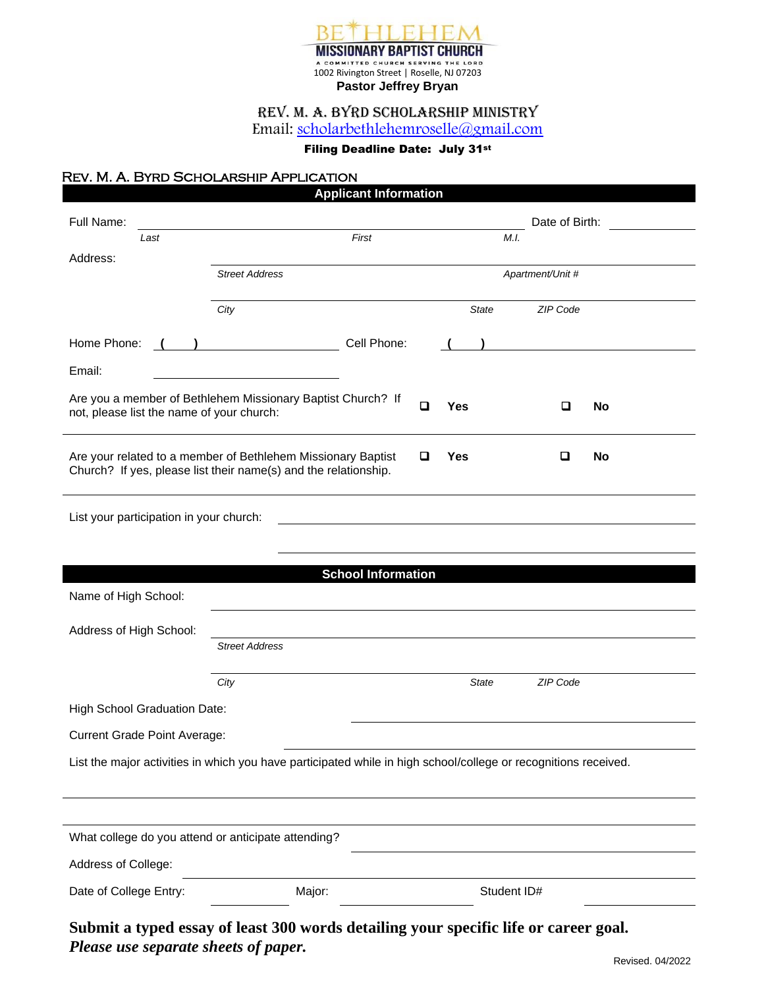

#### Rev. M. A. Byrd Scholarship Ministry Email: [scholarbethlehemroselle@gmail.com](mailto:scholarbethlehemroselle@gmail.com)

#### Filing Deadline Date: July 31st

#### Rev. M. A. Byrd Scholarship Application

| Full Name:                                                                                                                      |                       |                           |                 | Date of Birth:   |
|---------------------------------------------------------------------------------------------------------------------------------|-----------------------|---------------------------|-----------------|------------------|
| Last                                                                                                                            |                       | First                     | M.I.            |                  |
| Address:                                                                                                                        | <b>Street Address</b> |                           |                 | Apartment/Unit # |
|                                                                                                                                 |                       |                           |                 |                  |
|                                                                                                                                 | City                  |                           | <b>State</b>    | ZIP Code         |
| Home Phone:                                                                                                                     |                       | Cell Phone:               |                 |                  |
| Email:                                                                                                                          |                       |                           |                 |                  |
| Are you a member of Bethlehem Missionary Baptist Church? If<br>not, please list the name of your church:                        |                       |                           | $\Box$<br>Yes   | O<br><b>No</b>   |
| Are your related to a member of Bethlehem Missionary Baptist<br>Church? If yes, please list their name(s) and the relationship. |                       |                           | Q<br><b>Yes</b> | o<br><b>No</b>   |
|                                                                                                                                 |                       |                           |                 |                  |
|                                                                                                                                 |                       |                           |                 |                  |
| List your participation in your church:                                                                                         |                       |                           |                 |                  |
|                                                                                                                                 |                       |                           |                 |                  |
|                                                                                                                                 |                       | <b>School Information</b> |                 |                  |
|                                                                                                                                 |                       |                           |                 |                  |
|                                                                                                                                 |                       |                           |                 |                  |
|                                                                                                                                 | <b>Street Address</b> |                           |                 |                  |
| Name of High School:<br>Address of High School:                                                                                 | City                  |                           | <b>State</b>    | ZIP Code         |
|                                                                                                                                 |                       |                           |                 |                  |
| High School Graduation Date:<br><b>Current Grade Point Average:</b>                                                             |                       |                           |                 |                  |
| List the major activities in which you have participated while in high school/college or recognitions received.                 |                       |                           |                 |                  |
|                                                                                                                                 |                       |                           |                 |                  |
|                                                                                                                                 |                       |                           |                 |                  |
| What college do you attend or anticipate attending?                                                                             |                       |                           |                 |                  |
| Address of College:                                                                                                             |                       |                           |                 |                  |

*Please use separate sheets of paper.*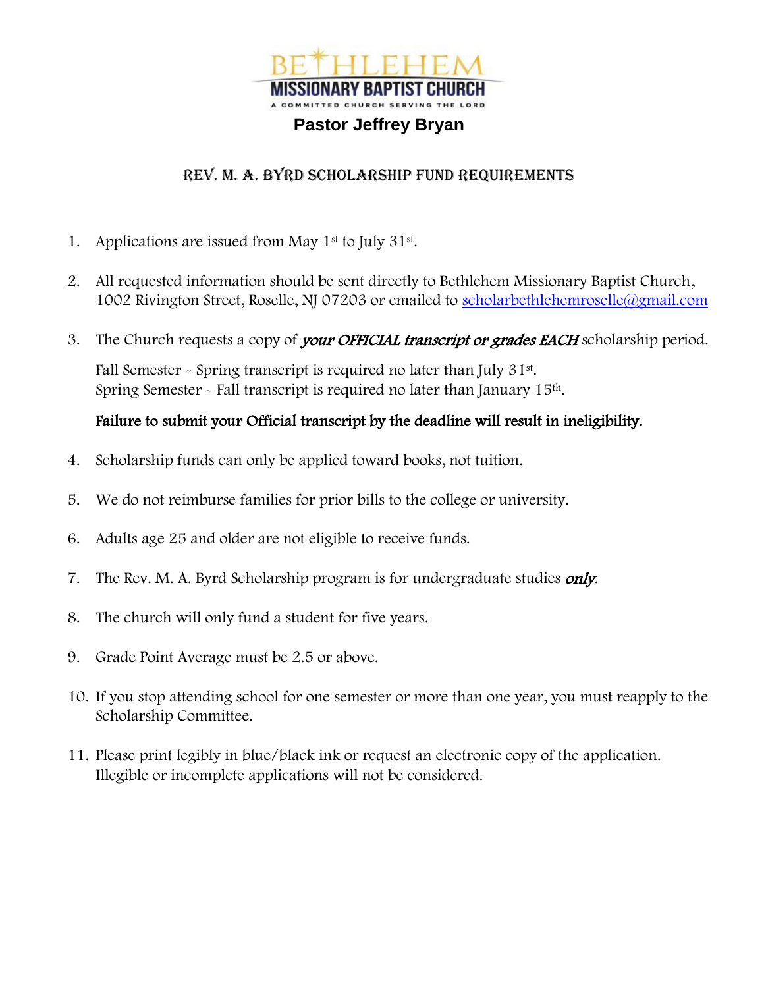

## **Pastor Jeffrey Bryan**

## REV. M. A. BYRD SCHOLARSHIP FUND REQUIREMENTS

- 1. Applications are issued from May 1<sup>st</sup> to July 31<sup>st</sup>.
- 2. All requested information should be sent directly to Bethlehem Missionary Baptist Church, 1002 Rivington Street, Roselle, NJ 07203 or emailed to [scholarbethlehemroselle@gmail.com](mailto:scholarbethlehemroselle@gmail.com)
- 3. The Church requests a copy of your OFFICIAL transcript or grades EACH scholarship period.

Fall Semester - Spring transcript is required no later than July 31st. Spring Semester - Fall transcript is required no later than January 15th.

## Failure to submit your Official transcript by the deadline will result in ineligibility.

- 4. Scholarship funds can only be applied toward books, not tuition.
- 5. We do not reimburse families for prior bills to the college or university.
- 6. Adults age 25 and older are not eligible to receive funds.
- 7. The Rev. M. A. Byrd Scholarship program is for undergraduate studies only.
- 8. The church will only fund a student for five years.
- 9. Grade Point Average must be 2.5 or above.
- 10. If you stop attending school for one semester or more than one year, you must reapply to the Scholarship Committee.
- 11. Please print legibly in blue/black ink or request an electronic copy of the application. Illegible or incomplete applications will not be considered.